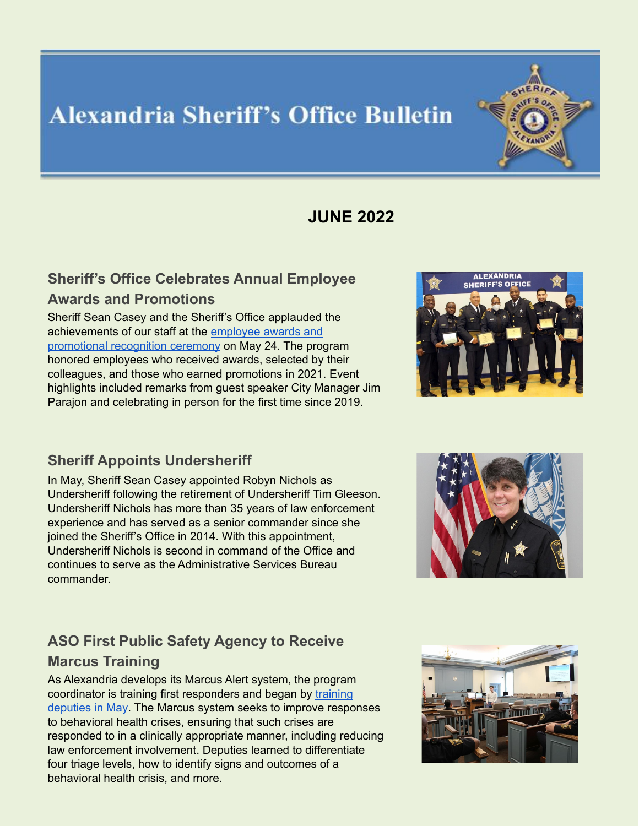# **Alexandria Sheriff's Office Bulletin**



# **JUNE 2022**

#### **Sheriff's Office Celebrates Annual Employee Awards and Promotions**

Sheriff Sean Casey and the Sheriff's Office applauded the achievements of our staff at the [employee](https://www.alexandriava.gov/sheriff/sheriffs-office-celebrates-annual-employee-awards-and-promotions) awards and [promotional](https://www.alexandriava.gov/sheriff/sheriffs-office-celebrates-annual-employee-awards-and-promotions) recognition ceremony on May 24. The program honored employees who received awards, selected by their colleagues, and those who earned promotions in 2021. Event highlights included remarks from guest speaker City Manager Jim Parajon and celebrating in person for the first time since 2019.

#### **Sheriff Appoints Undersheriff**

In May, Sheriff Sean Casey appointed Robyn Nichols as Undersheriff following the retirement of Undersheriff Tim Gleeson. Undersheriff Nichols has more than 35 years of law enforcement experience and has served as a senior commander since she joined the Sheriff's Office in 2014. With this appointment, Undersheriff Nichols is second in command of the Office and continues to serve as the Administrative Services Bureau commander.



## **ASO First Public Safety Agency to Receive Marcus Training**

As Alexandria develops its Marcus Alert system, the program coordinator is training first responders and began by [training](https://www.alexandriava.gov/sheriff/sheriffs-office-first-city-public-safety-agency-to-receive-marcus-alert-training) [deputies](https://www.alexandriava.gov/sheriff/sheriffs-office-first-city-public-safety-agency-to-receive-marcus-alert-training) in May. The Marcus system seeks to improve responses to behavioral health crises, ensuring that such crises are responded to in a clinically appropriate manner, including reducing law enforcement involvement. Deputies learned to differentiate four triage levels, how to identify signs and outcomes of a behavioral health crisis, and more.